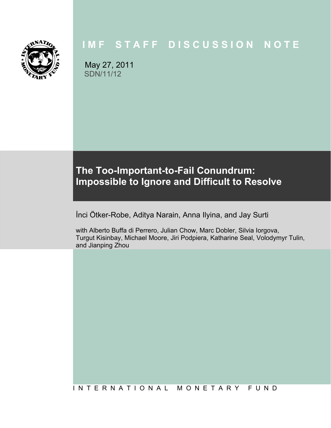

# **IMF STAFF DISCUSSION NOTE**

May 27, 2011 SDN/11/12

# **The Too-Important-to-Fail Conundrum: Impossible to Ignore and Difficult to Resolve**

İnci Ötker-Robe, Aditya Narain, Anna Ilyina, and Jay Surti

with Alberto Buffa di Perrero, Julian Chow, Marc Dobler, Silvia Iorgova, Turgut Kisinbay, Michael Moore, Jiri Podpiera, Katharine Seal, Volodymyr Tulin, and Jianping Zhou

# I N T E R N A T I O N A L M O N E T A R Y F U N D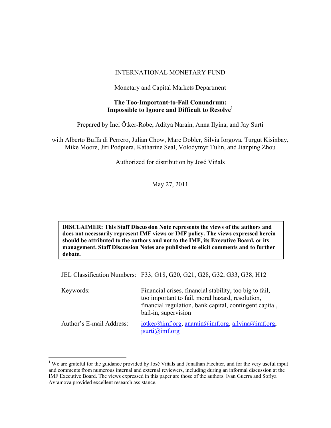#### INTERNATIONAL MONETARY FUND

Monetary and Capital Markets Department

#### **The Too-Important-to-Fail Conundrum: Impossible to Ignore and Difficult to Resolve1**

Prepared by İnci Ötker-Robe, Aditya Narain, Anna Ilyina, and Jay Surti

with Alberto Buffa di Perrero, Julian Chow, Marc Dobler, Silvia Iorgova, Turgut Kisinbay, Mike Moore, Jiri Podpiera, Katharine Seal, Volodymyr Tulin, and Jianping Zhou

Authorized for distribution by José Viñals

May 27, 2011

**DISCLAIMER: This Staff Discussion Note represents the views of the authors and does not necessarily represent IMF views or IMF policy. The views expressed herein should be attributed to the authors and not to the IMF, its Executive Board, or its management. Staff Discussion Notes are published to elicit comments and to further debate.** 

JEL Classification Numbers: F33, G18, G20, G21, G28, G32, G33, G38, H12

| Keywords:                | Financial crises, financial stability, too big to fail,<br>too important to fail, moral hazard, resolution,<br>financial regulation, bank capital, contingent capital,<br>bail-in, supervision |
|--------------------------|------------------------------------------------------------------------------------------------------------------------------------------------------------------------------------------------|
| Author's E-mail Address: | $iotker(\partial_i)$ imf.org, anarain $(\partial_i)$ imf.org, ailyina $(\partial_i)$ imf.org,<br>$\text{j}$ surti $\text{(a)}$ imf.org                                                         |

1

<sup>&</sup>lt;sup>1</sup> We are grateful for the guidance provided by José Viñals and Jonathan Fiechter, and for the very useful input and comments from numerous internal and external reviewers, including during an informal discussion at the IMF Executive Board. The views expressed in this paper are those of the authors. Ivan Guerra and Sofiya Avramova provided excellent research assistance.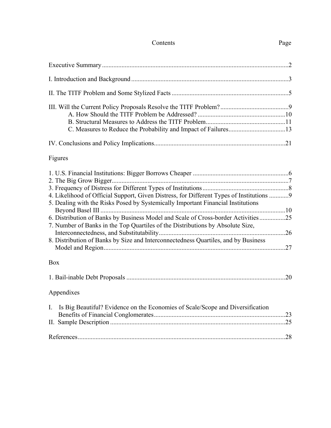# Contents Page

| Figures                                                                                                                                                                                                                                                                                                                                              |  |
|------------------------------------------------------------------------------------------------------------------------------------------------------------------------------------------------------------------------------------------------------------------------------------------------------------------------------------------------------|--|
| 4. Likelihood of Official Support, Given Distress, for Different Types of Institutions  9<br>5. Dealing with the Risks Posed by Systemically Important Financial Institutions<br>6. Distribution of Banks by Business Model and Scale of Cross-border Activities25<br>7. Number of Banks in the Top Quartiles of the Distributions by Absolute Size, |  |
| 8. Distribution of Banks by Size and Interconnectedness Quartiles, and by Business                                                                                                                                                                                                                                                                   |  |
| <b>Box</b>                                                                                                                                                                                                                                                                                                                                           |  |
|                                                                                                                                                                                                                                                                                                                                                      |  |
| Appendixes                                                                                                                                                                                                                                                                                                                                           |  |
| I. Is Big Beautiful? Evidence on the Economies of Scale/Scope and Diversification                                                                                                                                                                                                                                                                    |  |
|                                                                                                                                                                                                                                                                                                                                                      |  |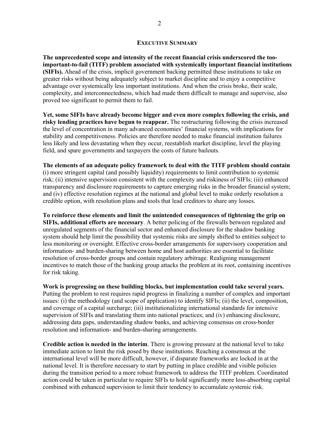#### **EXECUTIVE SUMMARY**

**The unprecedented scope and intensity of the recent financial crisis underscored the tooimportant-to-fail (TITF) problem associated with systemically important financial institutions (SIFIs).** Ahead of the crisis, implicit government backing permitted these institutions to take on greater risks without being adequately subject to market discipline and to enjoy a competitive advantage over systemically less important institutions. And when the crisis broke, their scale, complexity, and interconnectedness, which had made them difficult to manage and supervise, also proved too significant to permit them to fail.

**Yet, some SIFIs have already become bigger and even more complex following the crisis, and risky lending practices have begun to reappear.** The restructuring following the crisis increased the level of concentration in many advanced economies' financial systems, with implications for stability and competitiveness. Policies are therefore needed to make financial institution failures less likely and less devastating when they occur, reestablish market discipline, level the playing field, and spare governments and taxpayers the costs of future bailouts.

**The elements of an adequate policy framework to deal with the TITF problem should contain** (i) more stringent capital (and possibly liquidity) requirements to limit contribution to systemic risk; (ii) intensive supervision consistent with the complexity and riskiness of SIFIs; (iii) enhanced transparency and disclosure requirements to capture emerging risks in the broader financial system; and (iv) effective resolution regimes at the national and global level to make orderly resolution a credible option, with resolution plans and tools that lead creditors to share any losses.

**To reinforce these elements and limit the unintended consequences of tightening the grip on SIFIs, additional efforts are necessary**. A better policing of the firewalls between regulated and unregulated segments of the financial sector and enhanced disclosure for the shadow banking system should help limit the possibility that systemic risks are simply shifted to entities subject to less monitoring or oversight. Effective cross-border arrangements for supervisory cooperation and information- and burden-sharing between home and host authorities are essential to facilitate resolution of cross-border groups and contain regulatory arbitrage. Realigning management incentives to match those of the banking group attacks the problem at its root, containing incentives for risk taking.

**Work is progressing on these building blocks, but implementation could take several years.**  Putting the problem to rest requires rapid progress in finalizing a number of complex and important issues: (i) the methodology (and scope of application) to identify SIFIs; (ii) the level, composition, and coverage of a capital surcharge; (iii) institutionalizing international standards for intensive supervision of SIFIs and translating them into national practices; and (iv) enhancing disclosure, addressing data gaps, understanding shadow banks, and achieving consensus on cross-border resolution and information- and burden-sharing arrangements.

**Credible action is needed in the interim**. There is growing pressure at the national level to take immediate action to limit the risk posed by these institutions. Reaching a consensus at the international level will be more difficult, however, if disparate frameworks are locked in at the national level. It is therefore necessary to start by putting in place credible and visible policies during the transition period to a more robust framework to address the TITF problem. Coordinated action could be taken in particular to require SIFIs to hold significantly more loss-absorbing capital combined with enhanced supervision to limit their tendency to accumulate systemic risk.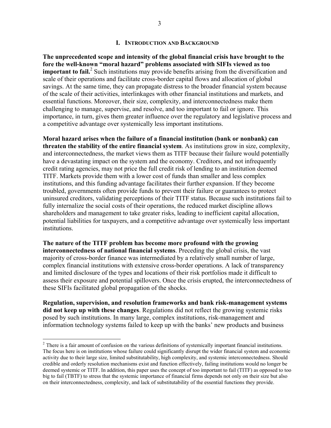#### **I. INTRODUCTION AND BACKGROUND**

**The unprecedented scope and intensity of the global financial crisis have brought to the fore the well-known "moral hazard" problems associated with SIFIs viewed as too important to fail.** Such institutions may provide benefits arising from the diversification and scale of their operations and facilitate cross-border capital flows and allocation of global savings. At the same time, they can propagate distress to the broader financial system because of the scale of their activities, interlinkages with other financial institutions and markets, and essential functions. Moreover, their size, complexity, and interconnectedness make them challenging to manage, supervise, and resolve, and too important to fail or ignore. This importance, in turn, gives them greater influence over the regulatory and legislative process and a competitive advantage over systemically less important institutions.

**Moral hazard arises when the failure of a financial institution (bank or nonbank) can threaten the stability of the entire financial system**. As institutions grow in size, complexity, and interconnectedness, the market views them as TITF because their failure would potentially have a devastating impact on the system and the economy. Creditors, and not infrequently credit rating agencies, may not price the full credit risk of lending to an institution deemed TITF. Markets provide them with a lower cost of funds than smaller and less complex institutions, and this funding advantage facilitates their further expansion. If they become troubled, governments often provide funds to prevent their failure or guarantees to protect uninsured creditors, validating perceptions of their TITF status. Because such institutions fail to fully internalize the social costs of their operations, the reduced market discipline allows shareholders and management to take greater risks, leading to inefficient capital allocation, potential liabilities for taxpayers, and a competitive advantage over systemically less important institutions.

**The nature of the TITF problem has become more profound with the growing interconnectedness of national financial systems**. Preceding the global crisis, the vast majority of cross-border finance was intermediated by a relatively small number of large, complex financial institutions with extensive cross-border operations. A lack of transparency and limited disclosure of the types and locations of their risk portfolios made it difficult to assess their exposure and potential spillovers. Once the crisis erupted, the interconnectedness of these SIFIs facilitated global propagation of the shocks.

**Regulation, supervision, and resolution frameworks and bank risk-management systems did not keep up with these changes**. Regulations did not reflect the growing systemic risks posed by such institutions. In many large, complex institutions, risk-management and information technology systems failed to keep up with the banks' new products and business

<sup>&</sup>lt;sup>2</sup> There is a fair amount of confusion on the various definitions of systemically important financial institutions. The focus here is on institutions whose failure could significantly disrupt the wider financial system and economic activity due to their large size, limited substitutability, high complexity, and systemic interconnectedness. Should credible and orderly resolution mechanisms exist and function effectively, failing institutions would no longer be deemed systemic or TITF. In addition, this paper uses the concept of too important to fail (TITF) as opposed to too big to fail (TBTF) to stress that the systemic importance of financial firms depends not only on their size but also on their interconnectedness, complexity, and lack of substitutability of the essential functions they provide.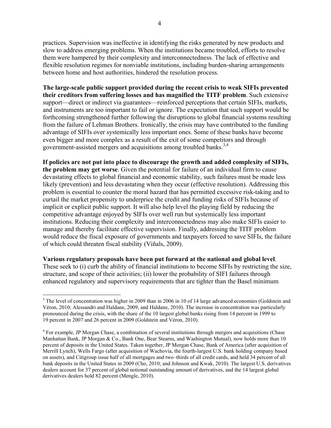practices. Supervision was ineffective in identifying the risks generated by new products and slow to address emerging problems. When the institutions became troubled, efforts to resolve them were hampered by their complexity and interconnectedness. The lack of effective and flexible resolution regimes for nonviable institutions, including burden-sharing arrangements between home and host authorities, hindered the resolution process.

**The large-scale public support provided during the recent crisis to weak SIFIs prevented their creditors from suffering losses and has magnified the TITF problem**. Such extensive support—direct or indirect via guarantees—reinforced perceptions that certain SIFIs, markets, and instruments are too important to fail or ignore. The expectation that such support would be forthcoming strengthened further following the disruptions to global financial systems resulting from the failure of Lehman Brothers. Ironically, the crisis may have contributed to the funding advantage of SIFIs over systemically less important ones. Some of these banks have become even bigger and more complex as a result of the exit of some competitors and through government-assisted mergers and acquisitions among troubled banks.<sup>3,4</sup>

**If policies are not put into place to discourage the growth and added complexity of SIFIs, the problem may get worse**. Given the potential for failure of an individual firm to cause devastating effects to global financial and economic stability, such failures must be made less likely (prevention) and less devastating when they occur (effective resolution). Addressing this problem is essential to counter the moral hazard that has permitted excessive risk-taking and to curtail the market propensity to underprice the credit and funding risks of SIFIs because of implicit or explicit public support. It will also help level the playing field by reducing the competitive advantage enjoyed by SIFIs over well run but systemically less important institutions. Reducing their complexity and interconnectedness may also make SIFIs easier to manage and thereby facilitate effective supervision. Finally, addressing the TITF problem would reduce the fiscal exposure of governments and taxpayers forced to save SIFIs, the failure of which could threaten fiscal stability (Viñals, 2009).

**Various regulatory proposals have been put forward at the national and global level**. These seek to (i) curb the ability of financial institutions to become SIFIs by restricting the size, structure, and scope of their activities; (ii) lower the probability of SIFI failures through enhanced regulatory and supervisory requirements that are tighter than the Basel minimum

 $3$  The level of concentration was higher in 2009 than in 2006 in 10 of 14 large advanced economies (Goldstein and Véron, 2010; Alessandri and Haldane, 2009, and Haldane, 2010). The increase in concentration was particularly pronounced during the crisis, with the share of the 10 largest global banks rising from 14 percent in 1999 to 19 percent in 2007 and 26 percent in 2009 (Goldstein and Véron, 2010).

<sup>&</sup>lt;sup>4</sup> For example, JP Morgan Chase, a combination of several institutions through mergers and acquisitions (Chase Manhattan Bank, JP Morgan & Co., Bank One, Bear Stearns, and Washington Mutual), now holds more than 10 percent of deposits in the United States. Taken together, JP Morgan Chase, Bank of America (after acquisition of Merrill Lynch), Wells Fargo (after acquisition of Wachovia, the fourth-largest U.S. bank holding company based on assets), and Citigroup issue half of all mortgages and two–thirds of all credit cards, and held 34 percent of all bank deposits in the United States in 2009 (Cho, 2010; and Johnson and Kwak, 2010). The largest U.S. derivatives dealers account for 37 percent of global notional outstanding amount of derivatives, and the 14 largest global derivatives dealers hold 82 percent (Mengle, 2010).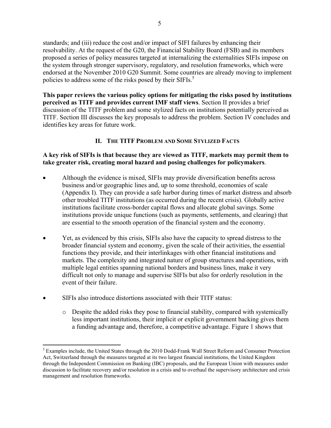standards; and (iii) reduce the cost and/or impact of SIFI failures by enhancing their resolvability. At the request of the G20, the Financial Stability Board (FSB) and its members proposed a series of policy measures targeted at internalizing the externalities SIFIs impose on the system through stronger supervisory, regulatory, and resolution frameworks, which were endorsed at the November 2010 G20 Summit. Some countries are already moving to implement policies to address some of the risks posed by their SIFIs.<sup>5</sup>

**This paper reviews the various policy options for mitigating the risks posed by institutions perceived as TITF and provides current IMF staff views**. Section II provides a brief discussion of the TITF problem and some stylized facts on institutions potentially perceived as TITF. Section III discusses the key proposals to address the problem. Section IV concludes and identifies key areas for future work.

# **II. THE TITF PROBLEM AND SOME STYLIZED FACTS**

## **A key risk of SIFIs is that because they are viewed as TITF, markets may permit them to take greater risk, creating moral hazard and posing challenges for policymakers**.

- Although the evidence is mixed, SIFIs may provide diversification benefits across business and/or geographic lines and, up to some threshold, economies of scale (Appendix I). They can provide a safe harbor during times of market distress and absorb other troubled TITF institutions (as occurred during the recent crisis). Globally active institutions facilitate cross-border capital flows and allocate global savings. Some institutions provide unique functions (such as payments, settlements, and clearing) that are essential to the smooth operation of the financial system and the economy.
- Yet, as evidenced by this crisis, SIFIs also have the capacity to spread distress to the broader financial system and economy, given the scale of their activities, the essential functions they provide, and their interlinkages with other financial institutions and markets. The complexity and integrated nature of group structures and operations, with multiple legal entities spanning national borders and business lines, make it very difficult not only to manage and supervise SIFIs but also for orderly resolution in the event of their failure.
- SIFIs also introduce distortions associated with their TITF status:
	- o Despite the added risks they pose to financial stability, compared with systemically less important institutions, their implicit or explicit government backing gives them a funding advantage and, therefore, a competitive advantage. Figure 1 shows that

 $\overline{a}$ <sup>5</sup> Examples include, the United States through the 2010 Dodd-Frank Wall Street Reform and Consumer Protection Act, Switzerland through the measures targeted at its two largest financial institutions, the United Kingdom through the Independent Commission on Banking (IBC) proposals, and the European Union with measures under discussion to facilitate recovery and/or resolution in a crisis and to overhaul the supervisory architecture and crisis management and resolution frameworks.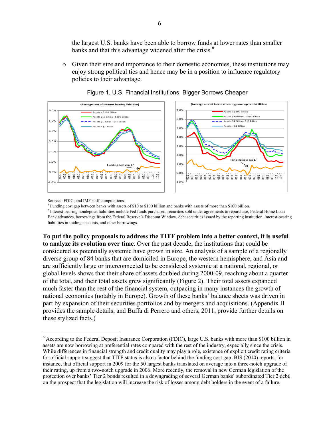the largest U.S. banks have been able to borrow funds at lower rates than smaller banks and that this advantage widened after the crisis.<sup>6</sup>

o Given their size and importance to their domestic economies, these institutions may enjoy strong political ties and hence may be in a position to influence regulatory policies to their advantage.





Sources: FDIC; and IMF staff computations.

 $\overline{a}$ 

<sup>1</sup> Funding cost gap between banks with assets of \$10 to \$100 billion and banks with assets of more than \$100 billion.

<sup>2</sup> Interest-bearing nondeposit liabilities include Fed funds purchased, securities sold under agreements to repurchase, Federal Home Loan Bank advances, borrowings from the Federal Reserve's Discount Window, debt securities issued by the reporting institution, interest-bearing liabilities in trading accounts, and other borrowings.

**To put the policy proposals to address the TITF problem into a better context, it is useful to analyze its evolution over time**. Over the past decade, the institutions that could be considered as potentially systemic have grown in size. An analysis of a sample of a regionally diverse group of 84 banks that are domiciled in Europe, the western hemisphere, and Asia and are sufficiently large or interconnected to be considered systemic at a national, regional, or global levels shows that their share of assets doubled during 2000-09, reaching about a quarter of the total, and their total assets grew significantly (Figure 2). Their total assets expanded much faster than the rest of the financial system, outpacing in many instances the growth of national economies (notably in Europe). Growth of these banks' balance sheets was driven in part by expansion of their securities portfolios and by mergers and acquisitions. (Appendix II provides the sample details, and Buffa di Perrero and others, 2011, provide further details on these stylized facts.)

<sup>&</sup>lt;sup>6</sup> According to the Federal Deposit Insurance Corporation (FDIC), large U.S. banks with more than \$100 billion in assets are now borrowing at preferential rates compared with the rest of the industry, especially since the crisis. While differences in financial strength and credit quality may play a role, existence of explicit credit rating criteria for official support suggest that TITF status is also a factor behind the funding cost gap. BIS (2010) reports, for instance, that official support in 2009 for the 50 largest banks translated on average into a three-notch upgrade of their rating, up from a two-notch upgrade in 2006. More recently, the removal in new German legislation of the protection over banks' Tier 2 bonds resulted in a downgrading of several German banks' subordinated Tier 2 debt, on the prospect that the legislation will increase the risk of losses among debt holders in the event of a failure.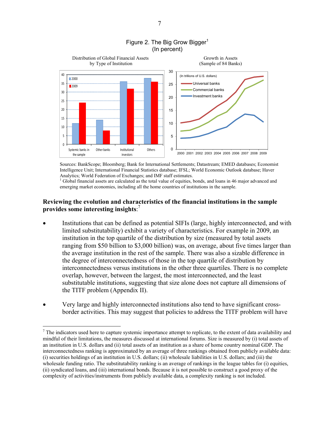

#### Figure 2. The Big Grow Bigger<sup>1</sup> (In percent)

Sources: BankScope; Bloomberg; Bank for International Settlements; Datastream; EMED databases; Economist Intelligence Unit; International Financial Statistics database; IFSL; World Economic Outlook database; Haver Analytics; World Federation of Exchanges; and IMF staff estimates.

<sup>1</sup> Global financial assets are calculated as the total value of equities, bonds, and loans in 46 major advanced and emerging market economies, including all the home countries of institutions in the sample.

#### **Reviewing the evolution and characteristics of the financial institutions in the sample provides some interesting insights**: 7

- Institutions that can be defined as potential SIFIs (large, highly interconnected, and with limited substitutability) exhibit a variety of characteristics. For example in 2009, an institution in the top quartile of the distribution by size (measured by total assets ranging from \$50 billion to \$3,000 billion) was, on average, about five times larger than the average institution in the rest of the sample. There was also a sizable difference in the degree of interconnectedness of those in the top quartile of distribution by interconnectedness versus institutions in the other three quartiles. There is no complete overlap, however, between the largest, the most interconnected, and the least substitutable institutions, suggesting that size alone does not capture all dimensions of the TITF problem (Appendix II).
- Very large and highly interconnected institutions also tend to have significant crossborder activities. This may suggest that policies to address the TITF problem will have

 $<sup>7</sup>$  The indicators used here to capture systemic importance attempt to replicate, to the extent of data availability and</sup> mindful of their limitations, the measures discussed at international forums. Size is measured by (i) total assets of an institution in U.S. dollars and (ii) total assets of an institution as a share of home country nominal GDP. The interconnectedness ranking is approximated by an average of three rankings obtained from publicly available data: (i) securities holdings of an institution in U.S. dollars; (ii) wholesale liabilities in U.S. dollars; and (iii) the wholesale funding ratio. The substitutability ranking is an average of rankings in the league tables for (i) equities, (ii) syndicated loans, and (iii) international bonds. Because it is not possible to construct a good proxy of the complexity of activities/instruments from publicly available data, a complexity ranking is not included.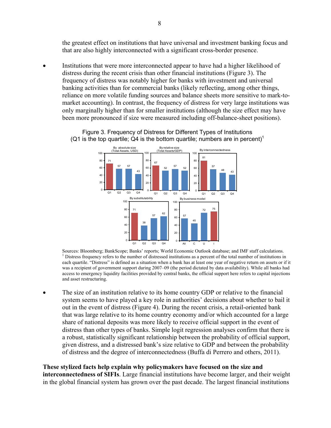the greatest effect on institutions that have universal and investment banking focus and that are also highly interconnected with a significant cross-border presence.

 Institutions that were more interconnected appear to have had a higher likelihood of distress during the recent crisis than other financial institutions (Figure 3). The frequency of distress was notably higher for banks with investment and universal banking activities than for commercial banks (likely reflecting, among other things, reliance on more volatile funding sources and balance sheets more sensitive to mark-tomarket accounting). In contrast, the frequency of distress for very large institutions was only marginally higher than for smaller institutions (although the size effect may have been more pronounced if size were measured including off-balance-sheet positions).

> Figure 3. Frequency of Distress for Different Types of Institutions (Q1 is the top quartile; Q4 is the bottom quartile; numbers are in percent)<sup>1</sup>



Sources: Bloomberg; BankScope; Banks' reports; World Economic Outlook database; and IMF staff calculations. 1 <sup>1</sup> Distress frequency refers to the number of distressed institutions as a percent of the total number of institutions in each quartile. "Distress" is defined as a situation when a bank has at least one year of negative return on assets or if it was a recipient of government support during 2007–09 (the period dictated by data availability). While all banks had access to emergency liquidity facilities provided by central banks, the official support here refers to capital injections and asset restructuring.

 The size of an institution relative to its home country GDP or relative to the financial system seems to have played a key role in authorities' decisions about whether to bail it out in the event of distress (Figure 4). During the recent crisis, a retail-oriented bank that was large relative to its home country economy and/or which accounted for a large share of national deposits was more likely to receive official support in the event of distress than other types of banks. Simple logit regression analyses confirm that there is a robust, statistically significant relationship between the probability of official support, given distress, and a distressed bank's size relative to GDP and between the probability of distress and the degree of interconnectedness (Buffa di Perrero and others, 2011).

#### **These stylized facts help explain why policymakers have focused on the size and**

**interconnectedness of SIFIs**. Large financial institutions have become larger, and their weight in the global financial system has grown over the past decade. The largest financial institutions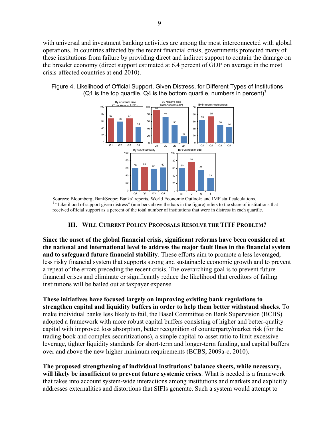with universal and investment banking activities are among the most interconnected with global operations. In countries affected by the recent financial crisis, governments protected many of these institutions from failure by providing direct and indirect support to contain the damage on the broader economy (direct support estimated at 6.4 percent of GDP on average in the most crisis-affected countries at end-2010).

Figure 4. Likelihood of Official Support, Given Distress, for Different Types of Institutions (Q1 is the top quartile, Q4 is the bottom quartile, numbers in percent)<sup>1</sup>



Sources: Bloomberg; BankScope; Banks' reports, World Economic Outlook; and IMF staff calculations. 1 <sup>1</sup> "Likelihood of support given distress" (numbers above the bars in the figure) refers to the share of institutions that received official support as a percent of the total number of institutions that were in distress in each quartile.

#### **III. WILL CURRENT POLICY PROPOSALS RESOLVE THE TITF PROBLEM?**

**Since the onset of the global financial crisis, significant reforms have been considered at the national and international level to address the major fault lines in the financial system and to safeguard future financial stability**. These efforts aim to promote a less leveraged, less risky financial system that supports strong and sustainable economic growth and to prevent a repeat of the errors preceding the recent crisis. The overarching goal is to prevent future financial crises and eliminate or significantly reduce the likelihood that creditors of failing institutions will be bailed out at taxpayer expense.

**These initiatives have focused largely on improving existing bank regulations to strengthen capital and liquidity buffers in order to help them better withstand shocks**. To make individual banks less likely to fail, the Basel Committee on Bank Supervision (BCBS) adopted a framework with more robust capital buffers consisting of higher and better-quality capital with improved loss absorption, better recognition of counterparty/market risk (for the trading book and complex securitizations), a simple capital-to-asset ratio to limit excessive leverage, tighter liquidity standards for short-term and longer-term funding, and capital buffers over and above the new higher minimum requirements (BCBS, 2009a-c, 2010).

**The proposed strengthening of individual institutions' balance sheets, while necessary, will likely be insufficient to prevent future systemic crises**. What is needed is a framework that takes into account system-wide interactions among institutions and markets and explicitly addresses externalities and distortions that SIFIs generate. Such a system would attempt to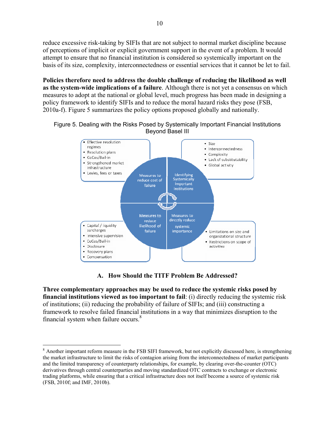reduce excessive risk-taking by SIFIs that are not subject to normal market discipline because of perceptions of implicit or explicit government support in the event of a problem. It would attempt to ensure that no financial institution is considered so systemically important on the basis of its size, complexity, interconnectedness or essential services that it cannot be let to fail.

**Policies therefore need to address the double challenge of reducing the likelihood as well as the system-wide implications of a failure**. Although there is not yet a consensus on which measures to adopt at the national or global level, much progress has been made in designing a policy framework to identify SIFIs and to reduce the moral hazard risks they pose (FSB, 2010a-f). Figure 5 summarizes the policy options proposed globally and nationally.





# **A. How Should the TITF Problem Be Addressed?**

**Three complementary approaches may be used to reduce the systemic risks posed by financial institutions viewed as too important to fail**: (i) directly reducing the systemic risk of institutions; (ii) reducing the probability of failure of SIFIs; and (iii) constructing a framework to resolve failed financial institutions in a way that minimizes disruption to the financial system when failure occurs. $8$ 

 $\overline{a}$  $8$  Another important reform measure in the FSB SIFI framework, but not explicitly discussed here, is strengthening the market infrastructure to limit the risks of contagion arising from the interconnectedness of market participants and the limited transparency of counterparty relationships, for example, by clearing over-the-counter (OTC) derivatives through central counterparties and moving standardized OTC contracts to exchange or electronic trading platforms, while ensuring that a critical infrastructure does not itself become a source of systemic risk (FSB, 2010f; and IMF, 2010b).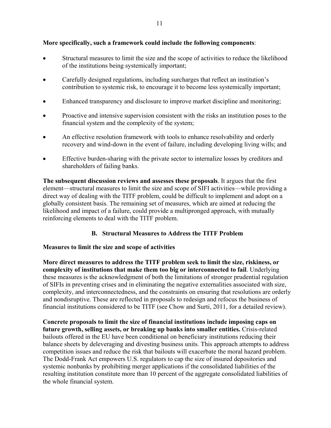### **More specifically, such a framework could include the following components**:

- Structural measures to limit the size and the scope of activities to reduce the likelihood of the institutions being systemically important;
- Carefully designed regulations, including surcharges that reflect an institution's contribution to systemic risk, to encourage it to become less systemically important;
- Enhanced transparency and disclosure to improve market discipline and monitoring;
- Proactive and intensive supervision consistent with the risks an institution poses to the financial system and the complexity of the system;
- An effective resolution framework with tools to enhance resolvability and orderly recovery and wind-down in the event of failure, including developing living wills; and
- Effective burden-sharing with the private sector to internalize losses by creditors and shareholders of failing banks.

**The subsequent discussion reviews and assesses these proposals**. It argues that the first element—structural measures to limit the size and scope of SIFI activities—while providing a direct way of dealing with the TITF problem, could be difficult to implement and adopt on a globally consistent basis. The remaining set of measures, which are aimed at reducing the likelihood and impact of a failure, could provide a multipronged approach, with mutually reinforcing elements to deal with the TITF problem.

# **B. Structural Measures to Address the TITF Problem**

# **Measures to limit the size and scope of activities**

**More direct measures to address the TITF problem seek to limit the size, riskiness, or complexity of institutions that make them too big or interconnected to fail**. Underlying these measures is the acknowledgment of both the limitations of stronger prudential regulation of SIFIs in preventing crises and in eliminating the negative externalities associated with size, complexity, and interconnectedness, and the constraints on ensuring that resolutions are orderly and nondisruptive. These are reflected in proposals to redesign and refocus the business of financial institutions considered to be TITF (see Chow and Surti, 2011, for a detailed review).

**Concrete proposals to limit the size of financial institutions include imposing caps on future growth, selling assets, or breaking up banks into smaller entities.** Crisis-related bailouts offered in the EU have been conditional on beneficiary institutions reducing their balance sheets by deleveraging and divesting business units. This approach attempts to address competition issues and reduce the risk that bailouts will exacerbate the moral hazard problem. The Dodd-Frank Act empowers U.S. regulators to cap the size of insured depositories and systemic nonbanks by prohibiting merger applications if the consolidated liabilities of the resulting institution constitute more than 10 percent of the aggregate consolidated liabilities of the whole financial system.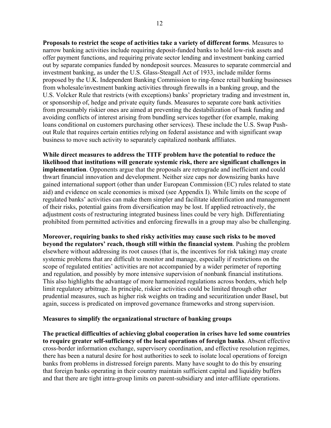**Proposals to restrict the scope of activities take a variety of different forms**. Measures to narrow banking activities include requiring deposit-funded banks to hold low-risk assets and offer payment functions, and requiring private sector lending and investment banking carried out by separate companies funded by nondeposit sources. Measures to separate commercial and investment banking, as under the U.S. Glass-Steagall Act of 1933, include milder forms proposed by the U.K. Independent Banking Commission to ring-fence retail banking businesses from wholesale/investment banking activities through firewalls in a banking group, and the U.S. Volcker Rule that restricts (with exceptions) banks' proprietary trading and investment in, or sponsorship of, hedge and private equity funds. Measures to separate core bank activities from presumably riskier ones are aimed at preventing the destabilization of bank funding and avoiding conflicts of interest arising from bundling services together (for example, making loans conditional on customers purchasing other services). These include the U.S. Swap Pushout Rule that requires certain entities relying on federal assistance and with significant swap business to move such activity to separately capitalized nonbank affiliates.

**While direct measures to address the TITF problem have the potential to reduce the likelihood that institutions will generate systemic risk, there are significant challenges in implementation**. Opponents argue that the proposals are retrograde and inefficient and could thwart financial innovation and development. Neither size caps nor downsizing banks have gained international support (other than under European Commission (EC) rules related to state aid) and evidence on scale economies is mixed (see Appendix I). While limits on the scope of regulated banks' activities can make them simpler and facilitate identification and management of their risks, potential gains from diversification may be lost. If applied retroactively, the adjustment costs of restructuring integrated business lines could be very high. Differentiating prohibited from permitted activities and enforcing firewalls in a group may also be challenging.

**Moreover, requiring banks to shed risky activities may cause such risks to be moved beyond the regulators' reach, though still within the financial system**. Pushing the problem elsewhere without addressing its root causes (that is, the incentives for risk taking) may create systemic problems that are difficult to monitor and manage, especially if restrictions on the scope of regulated entities' activities are not accompanied by a wider perimeter of reporting and regulation, and possibly by more intensive supervision of nonbank financial institutions. This also highlights the advantage of more harmonized regulations across borders, which help limit regulatory arbitrage. In principle, riskier activities could be limited through other prudential measures, such as higher risk weights on trading and securitization under Basel, but again, success is predicated on improved governance frameworks and strong supervision.

#### **Measures to simplify the organizational structure of banking groups**

**The practical difficulties of achieving global cooperation in crises have led some countries to require greater self-sufficiency of the local operations of foreign banks**. Absent effective cross-border information exchange, supervisory coordination, and effective resolution regimes, there has been a natural desire for host authorities to seek to isolate local operations of foreign banks from problems in distressed foreign parents. Many have sought to do this by ensuring that foreign banks operating in their country maintain sufficient capital and liquidity buffers and that there are tight intra-group limits on parent-subsidiary and inter-affiliate operations.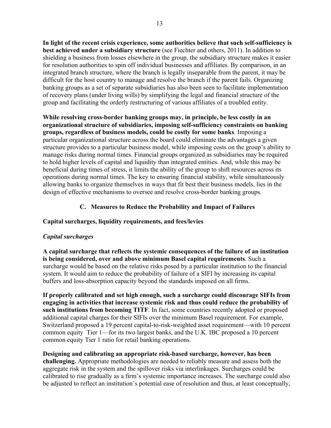**In light of the recent crisis experience, some authorities believe that such self-sufficiency is best achieved under a subsidiary structure** (see Fiechter and others, 2011). In addition to shielding a business from losses elsewhere in the group, the subsidiary structure makes it easier for resolution authorities to spin off individual businesses and affiliates. By comparison, in an integrated branch structure, where the branch is legally inseparable from the parent, it may be difficult for the host country to manage and resolve the branch if the parent fails. Organizing banking groups as a set of separate subsidiaries has also been seen to facilitate implementation of recovery plans (under living wills) by simplifying the legal and financial structure of the group and facilitating the orderly restructuring of various affiliates of a troubled entity.

**While resolving cross-border banking groups may, in principle, be less costly in an organizational structure of subsidiaries, imposing self-sufficiency constraints on banking groups, regardless of business models, could be costly for some banks**. Imposing a particular organizational structure across the board could eliminate the advantages a given structure provides to a particular business model, while imposing costs on the group's ability to manage risks during normal times. Financial groups organized as subsidiaries may be required to hold higher levels of capital and liquidity than integrated entities. And, while this may be beneficial during times of stress, it limits the ability of the group to shift resources across its operations during normal times. The key to ensuring financial stability, while simultaneously allowing banks to organize themselves in ways that fit best their business models, lies in the design of effective mechanisms to oversee and resolve cross-border banking groups.

# **C. Measures to Reduce the Probability and Impact of Failures**

# **Capital surcharges, liquidity requirements, and fees/levies**

# *Capital surcharges*

**A capital surcharge that reflects the systemic consequences of the failure of an institution is being considered, over and above minimum Basel capital requirements**. Such a surcharge would be based on the relative risks posed by a particular institution to the financial system. It would aim to reduce the probability of failure of a SIFI by increasing its capital buffers and loss-absorption capacity beyond the standards imposed on all firms.

**If properly calibrated and set high enough, such a surcharge could discourage SIFIs from engaging in activities that increase systemic risk and thus could reduce the probability of such institutions from becoming TITF**. In fact, some countries recently adopted or proposed additional capital charges for their SIFIs over the minimum Basel requirement. For example, Switzerland proposed a 19 percent capital-to-risk-weighted asset requirement—with 10 percent common equity Tier 1—for its two largest banks, and the U.K. IBC proposed a 10 percent common equity Tier 1 ratio for retail banking operations.

**Designing and calibrating an appropriate risk-based surcharge, however, has been challenging.** Appropriate methodologies are needed to reliably measure and assess both the aggregate risk in the system and the spillover risks via interlinkages. Surcharges could be calibrated to rise gradually as a firm's systemic importance increases. The surcharge could also be adjusted to reflect an institution's potential ease of resolution and thus, at least conceptually,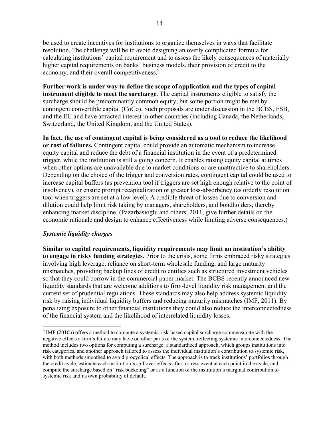be used to create incentives for institutions to organize themselves in ways that facilitate resolution. The challenge will be to avoid designing an overly complicated formula for calculating institutions' capital requirement and to assess the likely consequences of materially higher capital requirements on banks' business models, their provision of credit to the economy, and their overall competitiveness.<sup>9</sup>

**Further work is under way to define the scope of application and the types of capital instrument eligible to meet the surcharge**. The capital instruments eligible to satisfy the surcharge should be predominantly common equity, but some portion might be met by contingent convertible capital (CoCo). Such proposals are under discussion in the BCBS, FSB, and the EU and have attracted interest in other countries (including Canada, the Netherlands, Switzerland, the United Kingdom, and the United States).

**In fact, the use of contingent capital is being considered as a tool to reduce the likelihood or cost of failures.** Contingent capital could provide an automatic mechanism to increase equity capital and reduce the debt of a financial institution in the event of a predetermined trigger, while the institution is still a going concern. It enables raising equity capital at times when other options are unavailable due to market conditions or are unattractive to shareholders. Depending on the choice of the trigger and conversion rates, contingent capital could be used to increase capital buffers (as prevention tool if triggers are set high enough relative to the point of insolvency), or ensure prompt recapitalization or greater loss-absorbency (as orderly resolution tool when triggers are set at a low level). A credible threat of losses due to conversion and dilution could help limit risk taking by managers, shareholders, and bondholders, thereby enhancing market discipline. (Pazarbasioglu and others, 2011, give further details on the economic rationale and design to enhance effectiveness while limiting adverse consequences.)

# *Systemic liquidity charges*

 $\overline{a}$ 

**Similar to capital requirements, liquidity requirements may limit an institution's ability to engage in risky funding strategies**. Prior to the crisis, some firms embraced risky strategies involving high leverage, reliance on short-term wholesale funding, and large maturity mismatches, providing backup lines of credit to entities such as structured investment vehicles so that they could borrow in the commercial paper market. The BCBS recently announced new liquidity standards that are welcome additions to firm-level liquidity risk management and the current set of prudential regulations. These standards may also help address systemic liquidity risk by raising individual liquidity buffers and reducing maturity mismatches (IMF, 2011). By penalizing exposure to other financial institutions they could also reduce the interconnectedness of the financial system and the likelihood of interrelated liquidity losses.

 $9$  IMF (2010b) offers a method to compute a systemic-risk-based capital surcharge commensurate with the negative effects a firm's failure may have on other parts of the system, reflecting systemic interconnectedness. The method includes two options for computing a surcharge: a standardized approach, which groups institutions into risk categories, and another approach tailored to assess the individual institution's contribution to systemic risk, with both methods smoothed to avoid procyclical effects. The approach is to track institutions' portfolios through the credit cycle, estimate each institution's spillover effects after a stress event at each point in the cycle, and compute the surcharge based on "risk bucketing" or as a function of the institution's marginal contribution to systemic risk and its own probability of default.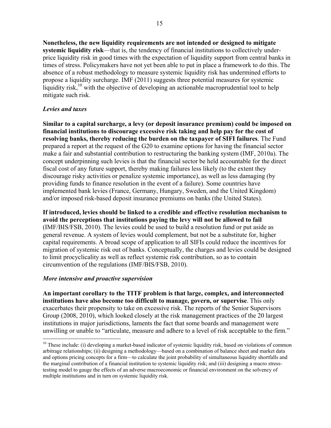**Nonetheless, the new liquidity requirements are not intended or designed to mitigate systemic liquidity risk**—that is, the tendency of financial institutions to collectively underprice liquidity risk in good times with the expectation of liquidity support from central banks in times of stress. Policymakers have not yet been able to put in place a framework to do this. The absence of a robust methodology to measure systemic liquidity risk has undermined efforts to propose a liquidity surcharge. IMF (2011) suggests three potential measures for systemic liquidity risk,<sup>10</sup> with the objective of developing an actionable macroprudential tool to help mitigate such risk.

### *Levies and taxes*

**Similar to a capital surcharge, a levy (or deposit insurance premium) could be imposed on financial institutions to discourage excessive risk taking and help pay for the cost of resolving banks, thereby reducing the burden on the taxpayer of SIFI failures**. The Fund prepared a report at the request of the G20 to examine options for having the financial sector make a fair and substantial contribution to restructuring the banking system (IMF, 2010a). The concept underpinning such levies is that the financial sector be held accountable for the direct fiscal cost of any future support, thereby making failures less likely (to the extent they discourage risky activities or penalize systemic importance), as well as less damaging (by providing funds to finance resolution in the event of a failure). Some countries have implemented bank levies (France, Germany, Hungary, Sweden, and the United Kingdom) and/or imposed risk-based deposit insurance premiums on banks (the United States).

**If introduced, levies should be linked to a credible and effective resolution mechanism to avoid the perceptions that institutions paying the levy will not be allowed to fail** (IMF/BIS/FSB, 2010). The levies could be used to build a resolution fund or put aside as general revenue. A system of levies would complement, but not be a substitute for, higher capital requirements. A broad scope of application to all SIFIs could reduce the incentives for migration of systemic risk out of banks. Conceptually, the charges and levies could be designed to limit procyclicality as well as reflect systemic risk contribution, so as to contain circumvention of the regulations (IMF/BIS/FSB, 2010).

#### *More intensive and proactive supervision*

 $\overline{a}$ 

**An important corollary to the TITF problem is that large, complex, and interconnected institutions have also become too difficult to manage, govern, or supervise**. This only exacerbates their propensity to take on excessive risk. The reports of the Senior Supervisors Group (2008, 2010), which looked closely at the risk management practices of the 20 largest institutions in major jurisdictions, laments the fact that some boards and management were unwilling or unable to "articulate, measure and adhere to a level of risk acceptable to the firm."

 $10$  These include: (i) developing a market-based indicator of systemic liquidity risk, based on violations of common arbitrage relationships; (ii) designing a methodology—based on a combination of balance sheet and market data and options pricing concepts for a firm—to calculate the joint probability of simultaneous liquidity shortfalls and the marginal contribution of a financial institution to systemic liquidity risk; and (iii) designing a macro stresstesting model to gauge the effects of an adverse macroeconomic or financial environment on the solvency of multiple institutions and in turn on systemic liquidity risk.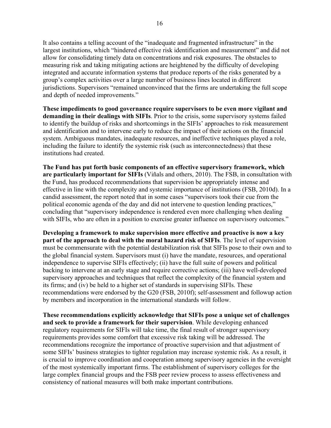It also contains a telling account of the "inadequate and fragmented infrastructure" in the largest institutions, which "hindered effective risk identification and measurement" and did not allow for consolidating timely data on concentrations and risk exposures. The obstacles to measuring risk and taking mitigating actions are heightened by the difficulty of developing integrated and accurate information systems that produce reports of the risks generated by a group's complex activities over a large number of business lines located in different jurisdictions. Supervisors "remained unconvinced that the firms are undertaking the full scope and depth of needed improvements."

**These impediments to good governance require supervisors to be even more vigilant and demanding in their dealings with SIFIs**. Prior to the crisis, some supervisory systems failed to identify the buildup of risks and shortcomings in the SIFIs' approaches to risk measurement and identification and to intervene early to reduce the impact of their actions on the financial system. Ambiguous mandates, inadequate resources, and ineffective techniques played a role, including the failure to identify the systemic risk (such as interconnectedness) that these institutions had created.

**The Fund has put forth basic components of an effective supervisory framework, which are particularly important for SIFIs** (Viñals and others, 2010). The FSB, in consultation with the Fund, has produced recommendations that supervision be appropriately intense and effective in line with the complexity and systemic importance of institutions (FSB, 2010d). In a candid assessment, the report noted that in some cases "supervisors took their cue from the political economic agenda of the day and did not intervene to question lending practices," concluding that "supervisory independence is rendered even more challenging when dealing with SIFIs, who are often in a position to exercise greater influence on supervisory outcomes."

**Developing a framework to make supervision more effective and proactive is now a key part of the approach to deal with the moral hazard risk of SIFIs**. The level of supervision must be commensurate with the potential destabilization risk that SIFIs pose to their own and to the global financial system. Supervisors must (i) have the mandate, resources, and operational independence to supervise SIFIs effectively; (ii) have the full suite of powers and political backing to intervene at an early stage and require corrective actions; (iii) have well-developed supervisory approaches and techniques that reflect the complexity of the financial system and its firms; and (iv) be held to a higher set of standards in supervising SIFIs. These recommendations were endorsed by the G20 (FSB, 2010f); self-assessment and followup action by members and incorporation in the international standards will follow.

**These recommendations explicitly acknowledge that SIFIs pose a unique set of challenges and seek to provide a framework for their supervision**. While developing enhanced regulatory requirements for SIFIs will take time, the final result of stronger supervisory requirements provides some comfort that excessive risk taking will be addressed. The recommendations recognize the importance of proactive supervision and that adjustment of some SIFIs' business strategies to tighter regulation may increase systemic risk. As a result, it is crucial to improve coordination and cooperation among supervisory agencies in the oversight of the most systemically important firms. The establishment of supervisory colleges for the large complex financial groups and the FSB peer review process to assess effectiveness and consistency of national measures will both make important contributions.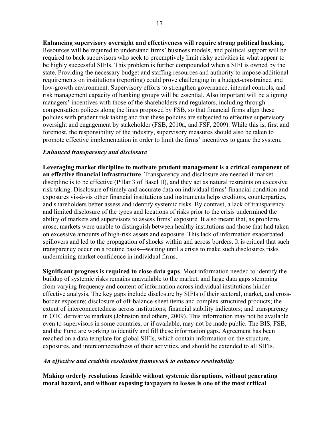**Enhancing supervisory oversight and effectiveness will require strong political backing.**  Resources will be required to understand firms' business models, and political support will be required to back supervisors who seek to preemptively limit risky activities in what appear to be highly successful SIFIs. This problem is further compounded when a SIFI is owned by the state. Providing the necessary budget and staffing resources and authority to impose additional requirements on institutions (reporting) could prove challenging in a budget-constrained and low-growth environment. Supervisory efforts to strengthen governance, internal controls, and risk management capacity of banking groups will be essential. Also important will be aligning managers' incentives with those of the shareholders and regulators, including through compensation polices along the lines proposed by FSB, so that financial firms align these policies with prudent risk taking and that these policies are subjected to effective supervisory oversight and engagement by stakeholder (FSB, 2010a, and FSF, 2009). While this is, first and foremost, the responsibility of the industry, supervisory measures should also be taken to promote effective implementation in order to limit the firms' incentives to game the system.

#### *Enhanced transparency and disclosure*

**Leveraging market discipline to motivate prudent management is a critical component of an effective financial infrastructure**. Transparency and disclosure are needed if market discipline is to be effective (Pillar 3 of Basel II), and they act as natural restraints on excessive risk taking. Disclosure of timely and accurate data on individual firms' financial condition and exposures vis-à-vis other financial institutions and instruments helps creditors, counterparties, and shareholders better assess and identify systemic risks. By contrast, a lack of transparency and limited disclosure of the types and locations of risks prior to the crisis undermined the ability of markets and supervisors to assess firms' exposure. It also meant that, as problems arose, markets were unable to distinguish between healthy institutions and those that had taken on excessive amounts of high-risk assets and exposure. This lack of information exacerbated spillovers and led to the propagation of shocks within and across borders. It is critical that such transparency occur on a routine basis—waiting until a crisis to make such disclosures risks undermining market confidence in individual firms.

**Significant progress is required to close data gaps**. Most information needed to identify the buildup of systemic risks remains unavailable to the market, and large data gaps stemming from varying frequency and content of information across individual institutions hinder effective analysis. The key gaps include disclosure by SIFIs of their sectoral, market, and crossborder exposure; disclosure of off-balance-sheet items and complex structured products; the extent of interconnectedness across institutions; financial stability indicators; and transparency in OTC derivative markets (Johnston and others, 2009). This information may not be available even to supervisors in some countries, or if available, may not be made public. The BIS, FSB, and the Fund are working to identify and fill these information gaps. Agreement has been reached on a data template for global SIFIs, which contain information on the structure, exposures, and interconnectedness of their activities, and should be extended to all SIFIs.

#### *An effective and credible resolution framework to enhance resolvability*

**Making orderly resolutions feasible without systemic disruptions, without generating moral hazard, and without exposing taxpayers to losses is one of the most critical**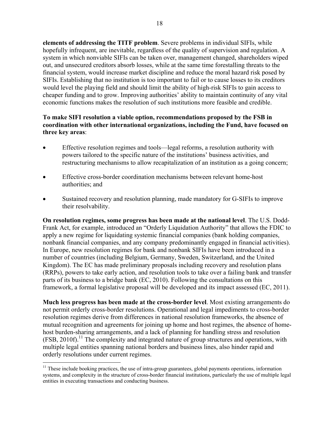**elements of addressing the TITF problem**. Severe problems in individual SIFIs, while hopefully infrequent, are inevitable, regardless of the quality of supervision and regulation. A system in which nonviable SIFIs can be taken over, management changed, shareholders wiped out, and unsecured creditors absorb losses, while at the same time forestalling threats to the financial system, would increase market discipline and reduce the moral hazard risk posed by SIFIs. Establishing that no institution is too important to fail or to cause losses to its creditors would level the playing field and should limit the ability of high-risk SIFIs to gain access to cheaper funding and to grow. Improving authorities' ability to maintain continuity of any vital economic functions makes the resolution of such institutions more feasible and credible.

# **To make SIFI resolution a viable option, recommendations proposed by the FSB in coordination with other international organizations, including the Fund, have focused on three key areas**:

- Effective resolution regimes and tools—legal reforms, a resolution authority with powers tailored to the specific nature of the institutions' business activities, and restructuring mechanisms to allow recapitalization of an institution as a going concern;
- Effective cross-border coordination mechanisms between relevant home-host authorities; and
- Sustained recovery and resolution planning, made mandatory for G-SIFIs to improve their resolvability.

**On resolution regimes, some progress has been made at the national level**. The U.S. Dodd-Frank Act, for example, introduced an "Orderly Liquidation Authority" that allows the FDIC to apply a new regime for liquidating systemic financial companies (bank holding companies, nonbank financial companies, and any company predominantly engaged in financial activities). In Europe, new resolution regimes for bank and nonbank SIFIs have been introduced in a number of countries (including Belgium, Germany, Sweden, Switzerland, and the United Kingdom). The EC has made preliminary proposals including recovery and resolution plans (RRPs), powers to take early action, and resolution tools to take over a failing bank and transfer parts of its business to a bridge bank (EC, 2010). Following the consultations on this framework, a formal legislative proposal will be developed and its impact assessed (EC, 2011).

**Much less progress has been made at the cross-border level**. Most existing arrangements do not permit orderly cross-border resolutions. Operational and legal impediments to cross-border resolution regimes derive from differences in national resolution frameworks, the absence of mutual recognition and agreements for joining up home and host regimes, the absence of homehost burden-sharing arrangements, and a lack of planning for handling stress and resolution  $(FSB, 2010f)$ .<sup>11</sup> The complexity and integrated nature of group structures and operations, with multiple legal entities spanning national borders and business lines, also hinder rapid and orderly resolutions under current regimes.

 $11$  These include booking practices, the use of intra-group guarantees, global payments operations, information systems, and complexity in the structure of cross-border financial institutions, particularly the use of multiple legal entities in executing transactions and conducting business.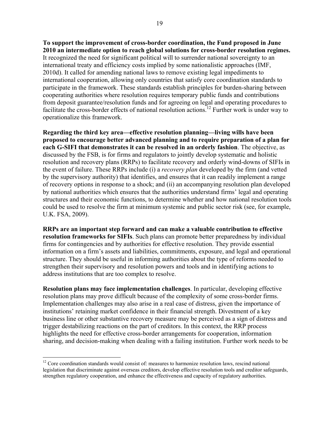**To support the improvement of cross-border coordination, the Fund proposed in June 2010 an intermediate option to reach global solutions for cross-border resolution regimes.**  It recognized the need for significant political will to surrender national sovereignty to an international treaty and efficiency costs implied by some nationalistic approaches (IMF, 2010d). It called for amending national laws to remove existing legal impediments to international cooperation, allowing only countries that satisfy core coordination standards to participate in the framework. These standards establish principles for burden-sharing between cooperating authorities where resolution requires temporary public funds and contributions from deposit guarantee/resolution funds and for agreeing on legal and operating procedures to facilitate the cross-border effects of national resolution actions.<sup>12</sup> Further work is under way to operationalize this framework.

**Regarding the third key area—effective resolution planning—living wills have been proposed to encourage better advanced planning and to require preparation of a plan for each G-SIFI that demonstrates it can be resolved in an orderly fashion**. The objective, as discussed by the FSB, is for firms and regulators to jointly develop systematic and holistic resolution and recovery plans (RRPs) to facilitate recovery and orderly wind-downs of SIFIs in the event of failure. These RRPs include (i) a *recovery plan* developed by the firm (and vetted by the supervisory authority) that identifies, and ensures that it can readily implement a range of recovery options in response to a shock; and (ii) an accompanying resolution plan developed by national authorities which ensures that the authorities understand firms' legal and operating structures and their economic functions, to determine whether and how national resolution tools could be used to resolve the firm at minimum systemic and public sector risk (see, for example, U.K. FSA, 2009).

**RRPs are an important step forward and can make a valuable contribution to effective resolution frameworks for SIFIs**. Such plans can promote better preparedness by individual firms for contingencies and by authorities for effective resolution. They provide essential information on a firm's assets and liabilities, commitments, exposure, and legal and operational structure. They should be useful in informing authorities about the type of reforms needed to strengthen their supervisory and resolution powers and tools and in identifying actions to address institutions that are too complex to resolve.

**Resolution plans may face implementation challenges**. In particular, developing effective resolution plans may prove difficult because of the complexity of some cross-border firms. Implementation challenges may also arise in a real case of distress, given the importance of institutions' retaining market confidence in their financial strength. Divestment of a key business line or other substantive recovery measure may be perceived as a sign of distress and trigger destabilizing reactions on the part of creditors. In this context, the RRP process highlights the need for effective cross-border arrangements for cooperation, information sharing, and decision-making when dealing with a failing institution. Further work needs to be

 $12$  Core coordination standards would consist of: measures to harmonize resolution laws, rescind national legislation that discriminate against overseas creditors, develop effective resolution tools and creditor safeguards, strengthen regulatory cooperation, and enhance the effectiveness and capacity of regulatory authorities.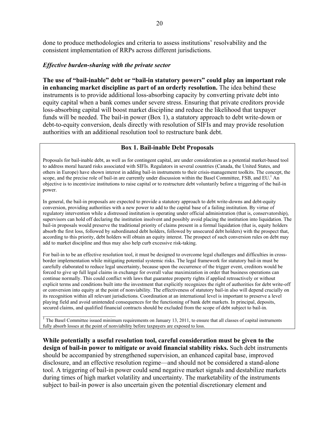done to produce methodologies and criteria to assess institutions' resolvability and the consistent implementation of RRPs across different jurisdictions.

#### *Effective burden-sharing with the private sector*

**The use of "bail-inable" debt or "bail-in statutory powers" could play an important role in enhancing market discipline as part of an orderly resolution.** The idea behind these instruments is to provide additional loss-absorbing capacity by converting private debt into equity capital when a bank comes under severe stress. Ensuring that private creditors provide loss-absorbing capital will boost market discipline and reduce the likelihood that taxpayer funds will be needed. The bail-in power (Box 1), a statutory approach to debt write-down or debt-to-equity conversion, deals directly with resolution of SIFIs and may provide resolution authorities with an additional resolution tool to restructure bank debt.

#### **Box 1. Bail-inable Debt Proposals**

Proposals for bail-inable debt, as well as for contingent capital, are under consideration as a potential market-based tool to address moral hazard risks associated with SIFIs. Regulators in several countries (Canada, the United States, and others in Europe) have shown interest in adding bail-in instruments to their crisis-management toolkits. The concept, the scope, and the precise role of bail-in are currently under discussion within the Basel Committee, FSB, and EU.<sup>1</sup> An objective is to incentivize institutions to raise capital or to restructure debt voluntarily before a triggering of the bail-in power.

In general, the bail-in proposals are expected to provide a statutory approach to debt write-downs and debt-equity conversion, providing authorities with a new power to add to the capital base of a failing institution. By virtue of regulatory intervention while a distressed institution is operating under official administration (that is, conservatorship), supervisors can hold off declaring the institution insolvent and possibly avoid placing the institution into liquidation. The bail-in proposals would preserve the traditional priority of claims present in a formal liquidation (that is, equity holders absorb the first loss, followed by subordinated debt holders, followed by unsecured debt holders) with the prospect that, according to this priority, debt holders will obtain an equity interest. The prospect of such conversion rules on debt may add to market discipline and thus may also help curb excessive risk-taking.

For bail-in to be an effective resolution tool, it must be designed to overcome legal challenges and difficulties in crossborder implementation while mitigating potential systemic risks. The legal framework for statutory bail-in must be carefully elaborated to reduce legal uncertainty, because upon the occurrence of the trigger event, creditors would be forced to give up full legal claims in exchange for overall value maximization in order that business operations can continue normally. This could conflict with laws that guarantee property rights if applied retroactively or without explicit terms and conditions built into the investment that explicitly recognizes the right of authorities for debt write-off or conversion into equity at the point of nonviability. The effectiveness of statutory bail-in also will depend crucially on its recognition within all relevant jurisdictions. Coordination at an international level is important to preserve a level playing field and avoid unintended consequences for the functioning of bank debt markets. In principal, deposits, secured claims, and qualified financial contracts should be excluded from the scope of debt subject to bail-in.

 $<sup>1</sup>$  The Basel Committee issued minimum requirements on January 13, 2011, to ensure that all classes of capital instruments</sup> fully absorb losses at the point of nonviability before taxpayers are exposed to loss.

**While potentially a useful resolution tool, careful consideration must be given to the design of bail-in power to mitigate or avoid financial stability risks.** Such debt instruments should be accompanied by strengthened supervision, an enhanced capital base, improved disclosure, and an effective resolution regime—and should not be considered a stand-alone tool. A triggering of bail-in power could send negative market signals and destabilize markets during times of high market volatility and uncertainty. The marketability of the instruments subject to bail-in power is also uncertain given the potential discretionary element and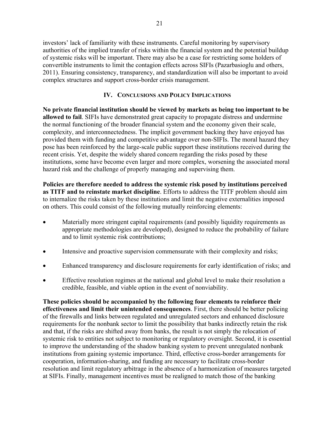investors' lack of familiarity with these instruments. Careful monitoring by supervisory authorities of the implied transfer of risks within the financial system and the potential buildup of systemic risks will be important. There may also be a case for restricting some holders of convertible instruments to limit the contagion effects across SIFIs (Pazarbasioglu and others, 2011). Ensuring consistency, transparency, and standardization will also be important to avoid complex structures and support cross-border crisis management.

# **IV. CONCLUSIONS AND POLICY IMPLICATIONS**

**No private financial institution should be viewed by markets as being too important to be allowed to fail**. SIFIs have demonstrated great capacity to propagate distress and undermine the normal functioning of the broader financial system and the economy given their scale, complexity, and interconnectedness. The implicit government backing they have enjoyed has provided them with funding and competitive advantage over non-SIFIs. The moral hazard they pose has been reinforced by the large-scale public support these institutions received during the recent crisis. Yet, despite the widely shared concern regarding the risks posed by these institutions, some have become even larger and more complex, worsening the associated moral hazard risk and the challenge of properly managing and supervising them.

**Policies are therefore needed to address the systemic risk posed by institutions perceived as TITF and to reinstate market discipline**. Efforts to address the TITF problem should aim to internalize the risks taken by these institutions and limit the negative externalities imposed on others. This could consist of the following mutually reinforcing elements:

- Materially more stringent capital requirements (and possibly liquidity requirements as appropriate methodologies are developed), designed to reduce the probability of failure and to limit systemic risk contributions;
- Intensive and proactive supervision commensurate with their complexity and risks;
- Enhanced transparency and disclosure requirements for early identification of risks; and
- Effective resolution regimes at the national and global level to make their resolution a credible, feasible, and viable option in the event of nonviability.

**These policies should be accompanied by the following four elements to reinforce their effectiveness and limit their unintended consequences**. First, there should be better policing of the firewalls and links between regulated and unregulated sectors and enhanced disclosure requirements for the nonbank sector to limit the possibility that banks indirectly retain the risk and that, if the risks are shifted away from banks, the result is not simply the relocation of systemic risk to entities not subject to monitoring or regulatory oversight. Second, it is essential to improve the understanding of the shadow banking system to prevent unregulated nonbank institutions from gaining systemic importance. Third, effective cross-border arrangements for cooperation, information-sharing, and funding are necessary to facilitate cross-border resolution and limit regulatory arbitrage in the absence of a harmonization of measures targeted at SIFIs. Finally, management incentives must be realigned to match those of the banking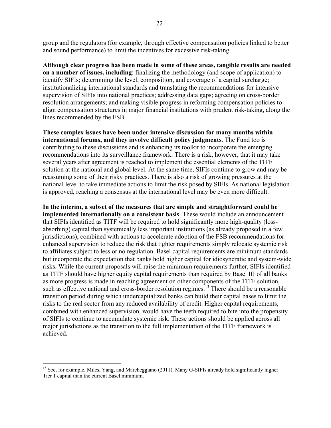22

group and the regulators (for example, through effective compensation policies linked to better and sound performance) to limit the incentives for excessive risk-taking.

**Although clear progress has been made in some of these areas, tangible results are needed on a number of issues, including**: finalizing the methodology (and scope of application) to identify SIFIs; determining the level, composition, and coverage of a capital surcharge; institutionalizing international standards and translating the recommendations for intensive supervision of SIFIs into national practices; addressing data gaps; agreeing on cross-border resolution arrangements; and making visible progress in reforming compensation policies to align compensation structures in major financial institutions with prudent risk-taking, along the lines recommended by the FSB.

**These complex issues have been under intensive discussion for many months within international forums, and they involve difficult policy judgments**. The Fund too is contributing to these discussions and is enhancing its toolkit to incorporate the emerging recommendations into its surveillance framework. There is a risk, however, that it may take several years after agreement is reached to implement the essential elements of the TITF solution at the national and global level. At the same time, SIFIs continue to grow and may be reassuming some of their risky practices. There is also a risk of growing pressures at the national level to take immediate actions to limit the risk posed by SIFIs. As national legislation is approved, reaching a consensus at the international level may be even more difficult.

**In the interim, a subset of the measures that are simple and straightforward could be implemented internationally on a consistent basis**. These would include an announcement that SIFIs identified as TITF will be required to hold significantly more high-quality (lossabsorbing) capital than systemically less important institutions (as already proposed in a few jurisdictions), combined with actions to accelerate adoption of the FSB recommendations for enhanced supervision to reduce the risk that tighter requirements simply relocate systemic risk to affiliates subject to less or no regulation. Basel capital requirements are minimum standards but incorporate the expectation that banks hold higher capital for idiosyncratic and system-wide risks. While the current proposals will raise the minimum requirements further, SIFIs identified as TITF should have higher equity capital requirements than required by Basel III of all banks as more progress is made in reaching agreement on other components of the TITF solution, such as effective national and cross-border resolution regimes.<sup>13</sup> There should be a reasonable transition period during which undercapitalized banks can build their capital bases to limit the risks to the real sector from any reduced availability of credit. Higher capital requirements, combined with enhanced supervision, would have the teeth required to bite into the propensity of SIFIs to continue to accumulate systemic risk. These actions should be applied across all major jurisdictions as the transition to the full implementation of the TITF framework is achieved.

<sup>&</sup>lt;sup>13</sup> See, for example, Miles, Yang, and Marcheggiano (2011). Many G-SIFIs already hold significantly higher Tier 1 capital than the current Basel minimum.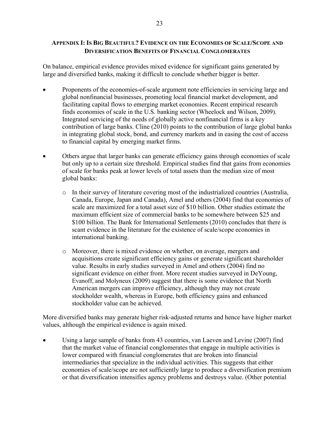# **APPENDIX I: IS BIG BEAUTIFUL? EVIDENCE ON THE ECONOMIES OF SCALE/SCOPE AND DIVERSIFICATION BENEFITS OF FINANCIAL CONGLOMERATES**

On balance, empirical evidence provides mixed evidence for significant gains generated by large and diversified banks, making it difficult to conclude whether bigger is better.

- Proponents of the economies-of-scale argument note efficiencies in servicing large and global nonfinancial businesses, promoting local financial market development, and facilitating capital flows to emerging market economies. Recent empirical research finds economies of scale in the U.S. banking sector (Wheelock and Wilson, 2009). Integrated servicing of the needs of globally active nonfinancial firms is a key contribution of large banks. Cline (2010) points to the contribution of large global banks in integrating global stock, bond, and currency markets and in easing the cost of access to financial capital by emerging market firms.
- Others argue that larger banks can generate efficiency gains through economies of scale but only up to a certain size threshold. Empirical studies find that gains from economies of scale for banks peak at lower levels of total assets than the median size of most global banks:
	- o In their survey of literature covering most of the industrialized countries (Australia, Canada, Europe, Japan and Canada), Amel and others (2004) find that economies of scale are maximized for a total asset size of \$10 billion. Other studies estimate the maximum efficient size of commercial banks to be somewhere between \$25 and \$100 billion. The Bank for International Settlements (2010) concludes that there is scant evidence in the literature for the existence of scale/scope economies in international banking.
	- o Moreover, there is mixed evidence on whether, on average, mergers and acquisitions create significant efficiency gains or generate significant shareholder value. Results in early studies surveyed in Amel and others (2004) find no significant evidence on either front. More recent studies surveyed in DeYoung, Evanoff, and Molyneux (2009) suggest that there is some evidence that North American mergers can improve efficiency, although they may not create stockholder wealth, whereas in Europe, both efficiency gains and enhanced stockholder value can be achieved.

More diversified banks may generate higher risk-adjusted returns and hence have higher market values, although the empirical evidence is again mixed.

 Using a large sample of banks from 43 countries, van Laeven and Levine (2007) find that the market value of financial conglomerates that engage in multiple activities is lower compared with financial conglomerates that are broken into financial intermediaries that specialize in the individual activities. This suggests that either economies of scale/scope are not sufficiently large to produce a diversification premium or that diversification intensifies agency problems and destroys value. (Other potential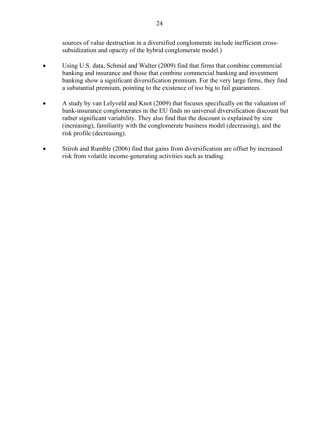sources of value destruction in a diversified conglomerate include inefficient crosssubsidization and opacity of the hybrid conglomerate model.)

- Using U.S. data, Schmid and Walter (2009) find that firms that combine commercial banking and insurance and those that combine commercial banking and investment banking show a significant diversification premium. For the very large firms, they find a substantial premium, pointing to the existence of too big to fail guarantees.
- A study by van Lelyveld and Knot (2009) that focuses specifically on the valuation of bank-insurance conglomerates in the EU finds no universal diversification discount but rather significant variability. They also find that the discount is explained by size (increasing), familiarity with the conglomerate business model (decreasing), and the risk profile (decreasing).
- Stiroh and Rumble (2006) find that gains from diversification are offset by increased risk from volatile income-generating activities such as trading.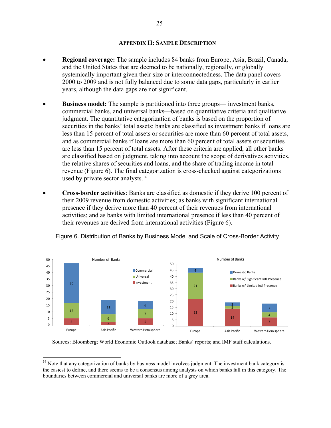#### **APPENDIX II: SAMPLE DESCRIPTION**

- **Regional coverage:** The sample includes 84 banks from Europe, Asia, Brazil, Canada, and the United States that are deemed to be nationally, regionally, or globally systemically important given their size or interconnectedness. The data panel covers 2000 to 2009 and is not fully balanced due to some data gaps, particularly in earlier years, although the data gaps are not significant.
- **Business model:** The sample is partitioned into three groups— investment banks, commercial banks, and universal banks—based on quantitative criteria and qualitative judgment. The quantitative categorization of banks is based on the proportion of securities in the banks' total assets: banks are classified as investment banks if loans are less than 15 percent of total assets or securities are more than 60 percent of total assets, and as commercial banks if loans are more than 60 percent of total assets or securities are less than 15 percent of total assets. After these criteria are applied, all other banks are classified based on judgment, taking into account the scope of derivatives activities, the relative shares of securities and loans, and the share of trading income in total revenue (Figure 6). The final categorization is cross-checked against categorizations used by private sector analysts.<sup>14</sup>
- **Cross-border activities**: Banks are classified as domestic if they derive 100 percent of their 2009 revenue from domestic activities; as banks with significant international presence if they derive more than 40 percent of their revenues from international activities; and as banks with limited international presence if less than 40 percent of their revenues are derived from international activities (Figure 6).



Figure 6. Distribution of Banks by Business Model and Scale of Cross-Border Activity

Sources: Bloomberg; World Economic Outlook database; Banks' reports; and IMF staff calculations.

<sup>&</sup>lt;sup>14</sup> Note that any categorization of banks by business model involves judgment. The investment bank category is the easiest to define, and there seems to be a consensus among analysts on which banks fall in this category. The boundaries between commercial and universal banks are more of a grey area.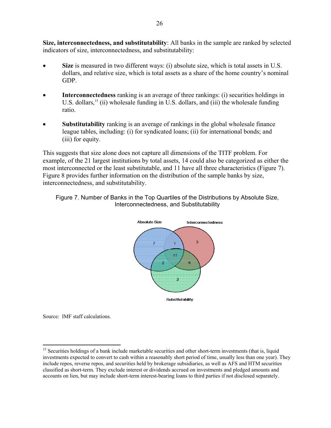**Size, interconnectedness, and substitutability**: All banks in the sample are ranked by selected indicators of size, interconnectedness, and substitutability:

- **Size** is measured in two different ways: (i) absolute size, which is total assets in U.S. dollars, and relative size, which is total assets as a share of the home country's nominal GDP.
- **Interconnectedness** ranking is an average of three rankings: (i) securities holdings in U.S. dollars,<sup>15</sup> (ii) wholesale funding in U.S. dollars, and (iii) the wholesale funding ratio.
- **Substitutability** ranking is an average of rankings in the global wholesale finance league tables, including: (i) for syndicated loans; (ii) for international bonds; and (iii) for equity.

This suggests that size alone does not capture all dimensions of the TITF problem. For example, of the 21 largest institutions by total assets, 14 could also be categorized as either the most interconnected or the least substitutable, and 11 have all three characteristics (Figure 7). Figure 8 provides further information on the distribution of the sample banks by size, interconnectedness, and substitutability.





Source: IMF staff calculations.

<sup>&</sup>lt;sup>15</sup> Securities holdings of a bank include marketable securities and other short-term investments (that is, liquid investments expected to convert to cash within a reasonably short period of time, usually less than one year). They include repos, reverse repos, and securities held by brokerage subsidiaries, as well as AFS and HTM securities classified as short-term. They exclude interest or dividends accrued on investments and pledged amounts and accounts on lien, but may include short-term interest-bearing loans to third parties if not disclosed separately.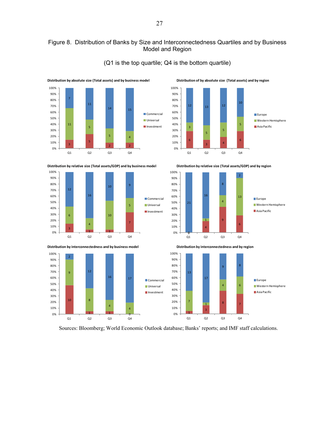# Figure 8. Distribution of Banks by Size and Interconnectedness Quartiles and by Business Model and Region

(Q1 is the top quartile; Q4 is the bottom quartile)







**Distribution by absolute size (Total assets) and by business model Distribution of by absolute size (Total assets) and by region** 











Sources: Bloomberg; World Economic Outlook database; Banks' reports; and IMF staff calculations.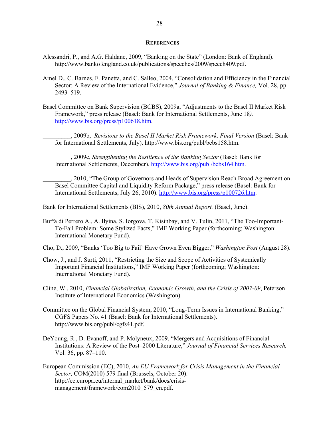#### **REFERENCES**

- Alessandri, P., and A.G. Haldane, 2009, "Banking on the State" (London: Bank of England). http://www.bankofengland.co.uk/publications/speeches/2009/speech409.pdf.
- Amel D., C. Barnes, F. Panetta, and C. Salleo, 2004, "Consolidation and Efficiency in the Financial Sector: A Review of the International Evidence," *Journal of Banking & Finance,* Vol. 28, pp. 2493–519.
- Basel Committee on Bank Supervision (BCBS), 2009a, "Adjustments to the Basel II Market Risk Framework," press release (Basel: Bank for International Settlements, June 18*).* http://www.bis.org/press/p100618.htm.
	- \_\_\_\_\_\_\_\_\_, 2009b, *Revisions to the Basel II Market Risk Framework, Final Version* (Basel: Bank for International Settlements, July). http://www.bis.org/publ/bcbs158.htm.

\_\_\_\_\_\_\_\_\_, 2009c, *Strengthening the Resilience of the Banking Sector* (Basel: Bank for International Settlements, December), http://www.bis.org/publ/bcbs164.htm.

\_\_\_\_\_\_\_\_\_, 2010, "The Group of Governors and Heads of Supervision Reach Broad Agreement on Basel Committee Capital and Liquidity Reform Package," press release (Basel: Bank for International Settlements, July 26, 2010). http://www.bis.org/press/p100726.htm.

Bank for International Settlements (BIS), 2010, *80th Annual Report.* (Basel, June).

Buffa di Perrero A., A. Ilyina, S. Iorgova, T. Kisinbay, and V. Tulin, 2011, "The Too-Important-To-Fail Problem: Some Stylized Facts," IMF Working Paper (forthcoming; Washington: International Monetary Fund).

Cho, D., 2009, "Banks 'Too Big to Fail' Have Grown Even Bigger," *Washington Post* (August 28).

- Chow, J., and J. Surti, 2011, "Restricting the Size and Scope of Activities of Systemically Important Financial Institutions," IMF Working Paper (forthcoming; Washington: International Monetary Fund).
- Cline, W., 2010, *Financial Globalization, Economic Growth, and the Crisis of 2007-09*, Peterson Institute of International Economics (Washington).
- Committee on the Global Financial System, 2010, "Long-Term Issues in International Banking," CGFS Papers No. 41 (Basel: Bank for International Settlements). http://www.bis.org/publ/cgfs41.pdf.
- DeYoung, R., D. Evanoff, and P. Molyneux, 2009, "Mergers and Acquisitions of Financial Institutions: A Review of the Post–2000 Literature," *Journal of Financial Services Research,* Vol. 36, pp. 87–110.
- European Commission (EC), 2010, *An EU Framework for Crisis Management in the Financial Sector,* COM(2010) 579 final (Brussels, October 20). http://ec.europa.eu/internal\_market/bank/docs/crisismanagement/framework/com2010\_579\_en.pdf.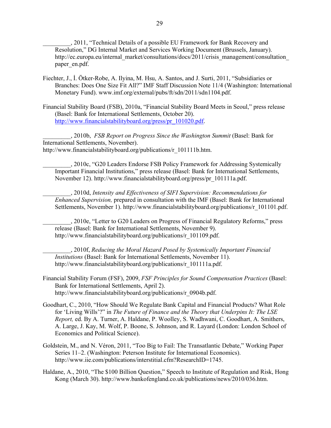\_\_\_\_\_\_\_\_\_, 2011, "Technical Details of a possible EU Framework for Bank Recovery and Resolution," DG Internal Market and Services Working Document (Brussels, January). http://ec.europa.eu/internal\_market/consultations/docs/2011/crisis\_management/consultation paper\_en.pdf.

- Fiechter, J., İ. Ötker-Robe, A. Ilyina, M. Hsu, A. Santos, and J. Surti, 2011, "Subsidiaries or Branches: Does One Size Fit All?" IMF Staff Discussion Note 11/4 (Washington: International Monetary Fund). www.imf.org/external/pubs/ft/sdn/2011/sdn1104.pdf.
- Financial Stability Board (FSB), 2010a, "Financial Stability Board Meets in Seoul," press release (Basel: Bank for International Settlements, October 20). http://www.financialstabilityboard.org/press/pr\_101020.pdf.

\_\_\_\_\_\_\_\_\_, 2010b, *FSB Report on Progress Since the Washington Summit* (Basel: Bank for International Settlements, November). http://www.financialstabilityboard.org/publications/r\_101111b.htm.

\_\_\_\_\_\_\_\_\_, 2010c, "G20 Leaders Endorse FSB Policy Framework for Addressing Systemically Important Financial Institutions," press release (Basel: Bank for International Settlements, November 12). http://www.financialstabilityboard.org/press/pr\_101111a.pdf.

\_\_\_\_\_\_\_\_\_, 2010d, *Intensity and Effectiveness of SIFI Supervision: Recommendations for Enhanced Supervision,* prepared in consultation with the IMF (Basel: Bank for International Settlements, November 1). http://www.financialstabilityboard.org/publications/r\_101101.pdf.

\_\_\_\_\_\_\_\_\_, 2010e, "Letter to G20 Leaders on Progress of Financial Regulatory Reforms," press release (Basel: Bank for International Settlements, November 9). http://www.financialstabilityboard.org/publications/r\_101109.pdf.

\_\_\_\_\_\_\_\_\_, 2010f, *Reducing the Moral Hazard Posed by Systemically Important Financial Institutions* (Basel: Bank for International Settlements, November 11). http://www.financialstabilityboard.org/publications/r\_101111a.pdf.

- Financial Stability Forum (FSF), 2009, *FSF Principles for Sound Compensation Practices* (Basel: Bank for International Settlements, April 2). http://www.financialstabilityboard.org/publications/r\_0904b.pdf.
- Goodhart, C., 2010, "How Should We Regulate Bank Capital and Financial Products? What Role for 'Living Wills'?" in *The Future of Finance and the Theory that Underpins It: The LSE Report,* ed. By A. Turner, A. Haldane, P. Woolley, S. Wadhwani, C. Goodhart, A. Smithers, A. Large, J. Kay, M. Wolf, P. Boone, S. Johnson, and R. Layard (London: London School of Economics and Political Science).
- Goldstein, M., and N. Véron, 2011, "Too Big to Fail: The Transatlantic Debate," Working Paper Series 11–2. (Washington: Peterson Institute for International Economics). http://www.iie.com/publications/interstitial.cfm?ResearchID=1745.
- Haldane, A., 2010, "The \$100 Billion Question," Speech to Institute of Regulation and Risk, Hong Kong (March 30). http://www.bankofengland.co.uk/publications/news/2010/036.htm.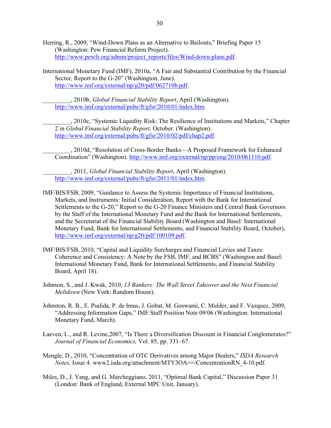- Herring, R., 2009, "Wind-Down Plans as an Alternative to Bailouts," Briefing Paper 15 (Washington: Pew Financial Reform Project). http://www.pewfr.org/admin/project\_reports/files/Wind-down-plans.pdf.
- International Monetary Fund (IMF), 2010a, "A Fair and Substantial Contribution by the Financial Sector, Report to the G-20" (Washington, June). http://www.imf.org/external/np/g20/pdf/062710b.pdf.

\_\_\_\_\_\_\_\_\_, 2010b, *Global Financial Stability Report*, April (Washington). http://www.imf.org/external/pubs/ft/gfsr/2010/01/index.htm.

\_\_\_\_\_\_\_\_\_, 2010c, "Systemic Liquidity Risk: The Resilience of Institutions and Markets," Chapter 2 in *Global Financial Stability Report,* October. (Washington). http://www.imf.org/external/pubs/ft/gfsr/2010/02/pdf/chap2.pdf.

\_\_\_\_\_\_\_\_\_, 2010d, "Resolution of Cross-Border Banks—A Proposed Framework for Enhanced Coordination" (Washington). http://www.imf.org/external/np/pp/eng/2010/061110.pdf.

\_\_\_\_\_\_\_\_\_, 2011, *Global Financial Stability Report*, April (Washington). http://www.imf.org/external/pubs/ft/gfsr/2011/01/index.htm.

- IMF/BIS/FSB, 2009, "Guidance to Assess the Systemic Importance of Financial Institutions, Markets, and Instruments: Initial Consideration, Report with the Bank for International Settlements to the G-20," Report to the G-20 Finance Ministers and Central Bank Governors by the Staff of the International Monetary Fund and the Bank for International Settlements, and the Secretariat of the Financial Stability Board (Washington and Basel: International Monetary Fund, Bank for International Settlements, and Financial Stability Board, October), http://www.imf.org/external/np/g20/pdf/100109.pdf.
- IMF/BIS/FSB, 2010, "Capital and Liquidity Surcharges and Financial Levies and Taxes: Coherence and Consistency: A Note by the FSB, IMF, and BCBS" (Washington and Basel: International Monetary Fund, Bank for International Settlements, and Financial Stability Board, April 18).
- Johnson, S., and J. Kwak, 2010, *13 Bankers: The Wall Street Takeover and the Next Financial Meltdown* (New York: Random House).
- Johnston, R. B., E. Psalida, P. de Imus, J. Gobat, M. Goswami, C. Mulder, and F. Vazquez, 2009, "Addressing Information Gaps," IMF Staff Position Note 09/06 (Washington: International Monetary Fund, March).
- Laeven, L., and R. Levine,2007, "Is There a Diversification Discount in Financial Conglomerates?" *Journal of Financial Economics,* Vol. 85, pp. 331–67.
- Mengle, D., 2010, "Concentration of OTC Derivatives among Major Dealers," *ISDA Research Notes,* Issue 4. www2.isda.org/attachment/MTY3OA==/ConcentrationRN 4-10.pdf.
- Miles, D., J. Yang, and G. Marcheggiano, 2011, "Optimal Bank Capital," Discussion Paper 31 (London: Bank of England, External MPC Unit, January).